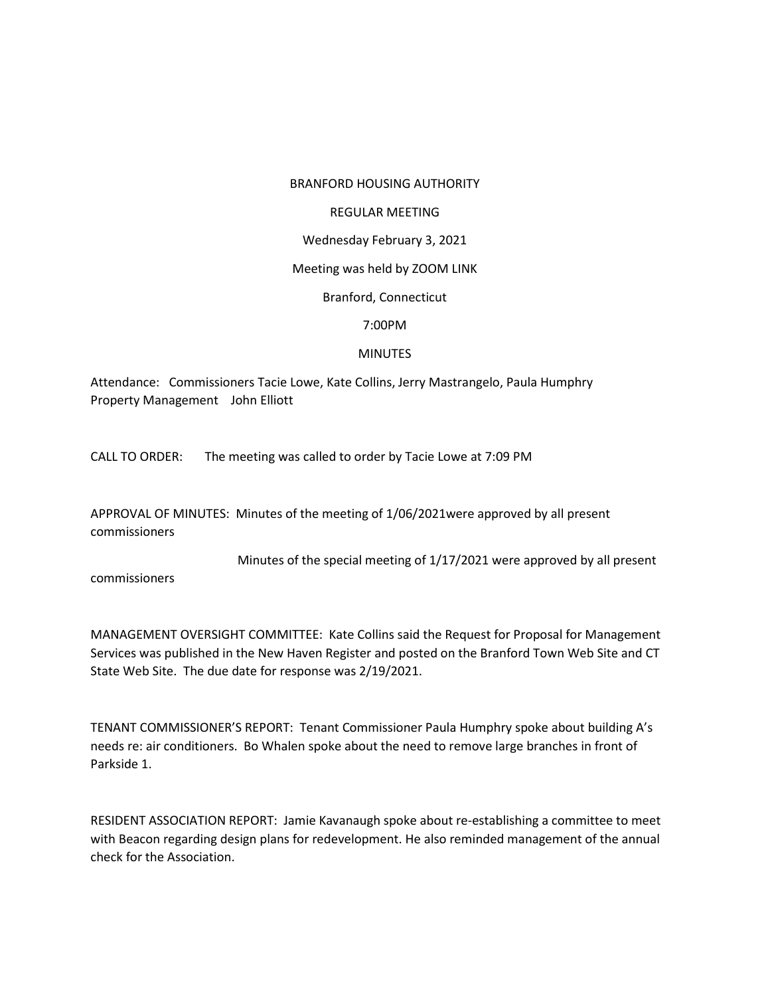#### BRANFORD HOUSING AUTHORITY

#### REGULAR MEETING

### Wednesday February 3, 2021

#### Meeting was held by ZOOM LINK

# Branford, Connecticut

## 7:00PM

## MINUTES

Attendance: Commissioners Tacie Lowe, Kate Collins, Jerry Mastrangelo, Paula Humphry Property Management John Elliott

CALL TO ORDER: The meeting was called to order by Tacie Lowe at 7:09 PM

APPROVAL OF MINUTES: Minutes of the meeting of 1/06/2021were approved by all present commissioners

Minutes of the special meeting of 1/17/2021 were approved by all present

commissioners

MANAGEMENT OVERSIGHT COMMITTEE: Kate Collins said the Request for Proposal for Management Services was published in the New Haven Register and posted on the Branford Town Web Site and CT State Web Site. The due date for response was 2/19/2021.

TENANT COMMISSIONER'S REPORT: Tenant Commissioner Paula Humphry spoke about building A's needs re: air conditioners. Bo Whalen spoke about the need to remove large branches in front of Parkside 1.

RESIDENT ASSOCIATION REPORT: Jamie Kavanaugh spoke about re-establishing a committee to meet with Beacon regarding design plans for redevelopment. He also reminded management of the annual check for the Association.